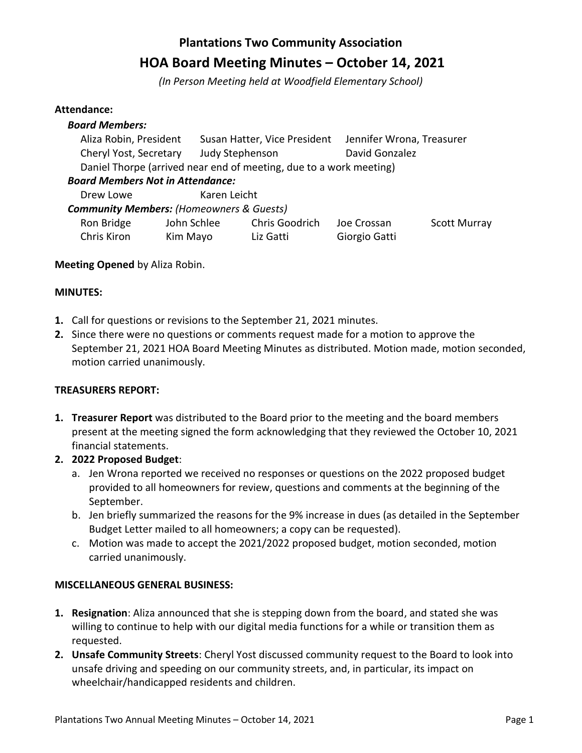# **Plantations Two Community Association HOA Board Meeting Minutes – October 14, 2021**

*(In Person Meeting held at Woodfield Elementary School)*

## **Attendance:**

| <b>Board Members:</b>                                              |              |                              |                           |                     |  |  |
|--------------------------------------------------------------------|--------------|------------------------------|---------------------------|---------------------|--|--|
|                                                                    |              |                              |                           |                     |  |  |
| Aliza Robin, President                                             |              | Susan Hatter, Vice President | Jennifer Wrona, Treasurer |                     |  |  |
| Cheryl Yost, Secretary<br>Judy Stephenson                          |              | David Gonzalez               |                           |                     |  |  |
| Daniel Thorpe (arrived near end of meeting, due to a work meeting) |              |                              |                           |                     |  |  |
| <b>Board Members Not in Attendance:</b>                            |              |                              |                           |                     |  |  |
| Drew Lowe                                                          | Karen Leicht |                              |                           |                     |  |  |
| <b>Community Members: (Homeowners &amp; Guests)</b>                |              |                              |                           |                     |  |  |
| Ron Bridge                                                         | John Schlee  | Chris Goodrich               | Joe Crossan               | <b>Scott Murray</b> |  |  |
| Chris Kiron                                                        | Kim Mayo     | Liz Gatti                    | Giorgio Gatti             |                     |  |  |

## **Meeting Opened** by Aliza Robin.

## **MINUTES:**

- **1.** Call for questions or revisions to the September 21, 2021 minutes.
- **2.** Since there were no questions or comments request made for a motion to approve the September 21, 2021 HOA Board Meeting Minutes as distributed. Motion made, motion seconded, motion carried unanimously.

## **TREASURERS REPORT:**

- **1. Treasurer Report** was distributed to the Board prior to the meeting and the board members present at the meeting signed the form acknowledging that they reviewed the October 10, 2021 financial statements.
- **2. 2022 Proposed Budget**:
	- a. Jen Wrona reported we received no responses or questions on the 2022 proposed budget provided to all homeowners for review, questions and comments at the beginning of the September.
	- b. Jen briefly summarized the reasons for the 9% increase in dues (as detailed in the September Budget Letter mailed to all homeowners; a copy can be requested).
	- c. Motion was made to accept the 2021/2022 proposed budget, motion seconded, motion carried unanimously.

## **MISCELLANEOUS GENERAL BUSINESS:**

- **1. Resignation**: Aliza announced that she is stepping down from the board, and stated she was willing to continue to help with our digital media functions for a while or transition them as requested.
- **2. Unsafe Community Streets**: Cheryl Yost discussed community request to the Board to look into unsafe driving and speeding on our community streets, and, in particular, its impact on wheelchair/handicapped residents and children.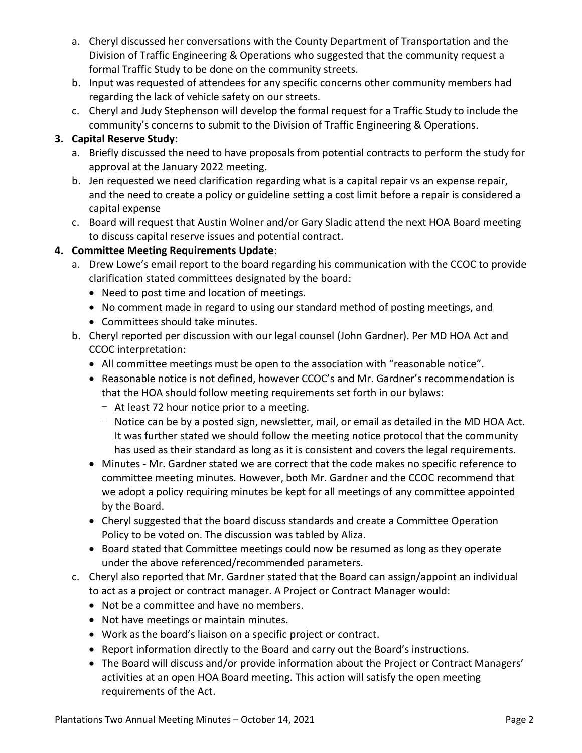- a. Cheryl discussed her conversations with the County Department of Transportation and the Division of Traffic Engineering & Operations who suggested that the community request a formal Traffic Study to be done on the community streets.
- b. Input was requested of attendees for any specific concerns other community members had regarding the lack of vehicle safety on our streets.
- c. Cheryl and Judy Stephenson will develop the formal request for a Traffic Study to include the community's concerns to submit to the Division of Traffic Engineering & Operations.

# **3. Capital Reserve Study**:

- a. Briefly discussed the need to have proposals from potential contracts to perform the study for approval at the January 2022 meeting.
- b. Jen requested we need clarification regarding what is a capital repair vs an expense repair, and the need to create a policy or guideline setting a cost limit before a repair is considered a capital expense
- c. Board will request that Austin Wolner and/or Gary Sladic attend the next HOA Board meeting to discuss capital reserve issues and potential contract.

# **4. Committee Meeting Requirements Update**:

- a. Drew Lowe's email report to the board regarding his communication with the CCOC to provide clarification stated committees designated by the board:
	- Need to post time and location of meetings.
	- No comment made in regard to using our standard method of posting meetings, and
	- Committees should take minutes.
- b. Cheryl reported per discussion with our legal counsel (John Gardner). Per MD HOA Act and CCOC interpretation:
	- All committee meetings must be open to the association with "reasonable notice".
	- Reasonable notice is not defined, however CCOC's and Mr. Gardner's recommendation is that the HOA should follow meeting requirements set forth in our bylaws:
		- At least 72 hour notice prior to a meeting.
		- Notice can be by a posted sign, newsletter, mail, or email as detailed in the MD HOA Act. It was further stated we should follow the meeting notice protocol that the community has used as their standard as long as it is consistent and covers the legal requirements.
	- Minutes Mr. Gardner stated we are correct that the code makes no specific reference to committee meeting minutes. However, both Mr. Gardner and the CCOC recommend that we adopt a policy requiring minutes be kept for all meetings of any committee appointed by the Board.
	- Cheryl suggested that the board discuss standards and create a Committee Operation Policy to be voted on. The discussion was tabled by Aliza.
	- Board stated that Committee meetings could now be resumed as long as they operate under the above referenced/recommended parameters.
- c. Cheryl also reported that Mr. Gardner stated that the Board can assign/appoint an individual to act as a project or contract manager. A Project or Contract Manager would:
	- Not be a committee and have no members.
	- Not have meetings or maintain minutes.
	- Work as the board's liaison on a specific project or contract.
	- Report information directly to the Board and carry out the Board's instructions.
	- The Board will discuss and/or provide information about the Project or Contract Managers' activities at an open HOA Board meeting. This action will satisfy the open meeting requirements of the Act.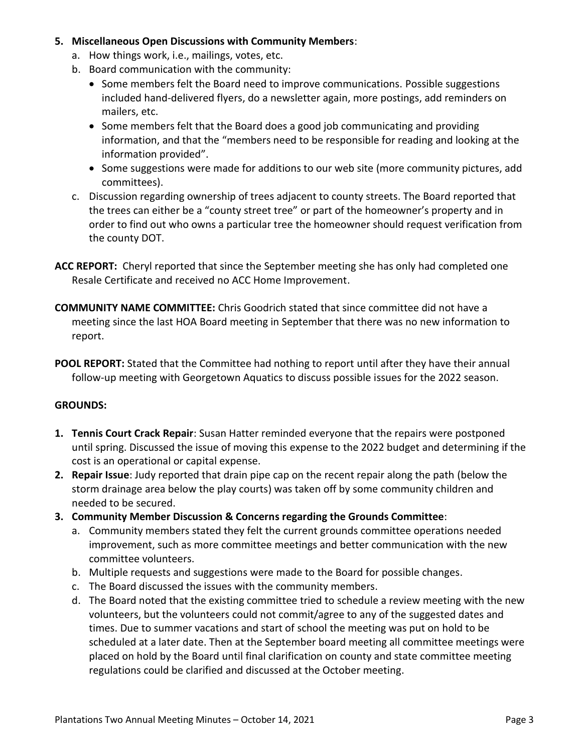## **5. Miscellaneous Open Discussions with Community Members**:

- a. How things work, i.e., mailings, votes, etc.
- b. Board communication with the community:
	- Some members felt the Board need to improve communications. Possible suggestions included hand-delivered flyers, do a newsletter again, more postings, add reminders on mailers, etc.
	- Some members felt that the Board does a good job communicating and providing information, and that the "members need to be responsible for reading and looking at the information provided".
	- Some suggestions were made for additions to our web site (more community pictures, add committees).
- c. Discussion regarding ownership of trees adjacent to county streets. The Board reported that the trees can either be a "county street tree" or part of the homeowner's property and in order to find out who owns a particular tree the homeowner should request verification from the county DOT.
- **ACC REPORT:** Cheryl reported that since the September meeting she has only had completed one Resale Certificate and received no ACC Home Improvement.
- **COMMUNITY NAME COMMITTEE:** Chris Goodrich stated that since committee did not have a meeting since the last HOA Board meeting in September that there was no new information to report.
- **POOL REPORT:** Stated that the Committee had nothing to report until after they have their annual follow-up meeting with Georgetown Aquatics to discuss possible issues for the 2022 season.

## **GROUNDS:**

- **1. Tennis Court Crack Repair**: Susan Hatter reminded everyone that the repairs were postponed until spring. Discussed the issue of moving this expense to the 2022 budget and determining if the cost is an operational or capital expense.
- **2. Repair Issue**: Judy reported that drain pipe cap on the recent repair along the path (below the storm drainage area below the play courts) was taken off by some community children and needed to be secured.
- **3. Community Member Discussion & Concerns regarding the Grounds Committee**:
	- a. Community members stated they felt the current grounds committee operations needed improvement, such as more committee meetings and better communication with the new committee volunteers.
	- b. Multiple requests and suggestions were made to the Board for possible changes.
	- c. The Board discussed the issues with the community members.
	- d. The Board noted that the existing committee tried to schedule a review meeting with the new volunteers, but the volunteers could not commit/agree to any of the suggested dates and times. Due to summer vacations and start of school the meeting was put on hold to be scheduled at a later date. Then at the September board meeting all committee meetings were placed on hold by the Board until final clarification on county and state committee meeting regulations could be clarified and discussed at the October meeting.